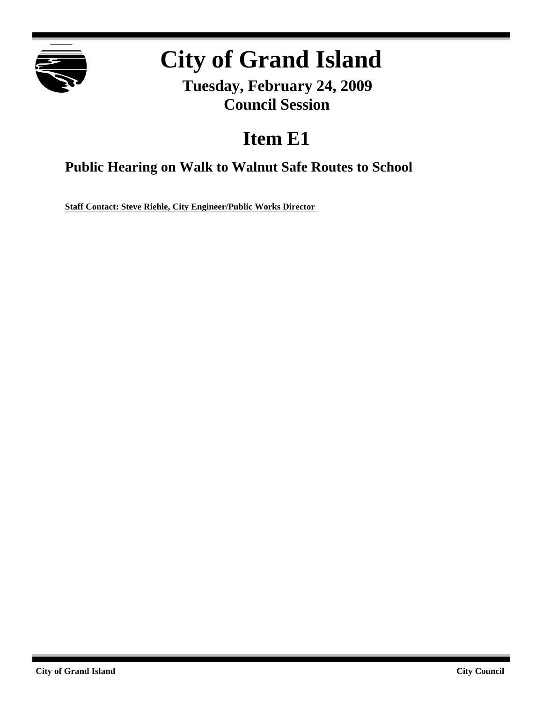

# **City of Grand Island**

**Tuesday, February 24, 2009 Council Session**

## **Item E1**

**Public Hearing on Walk to Walnut Safe Routes to School**

**Staff Contact: Steve Riehle, City Engineer/Public Works Director**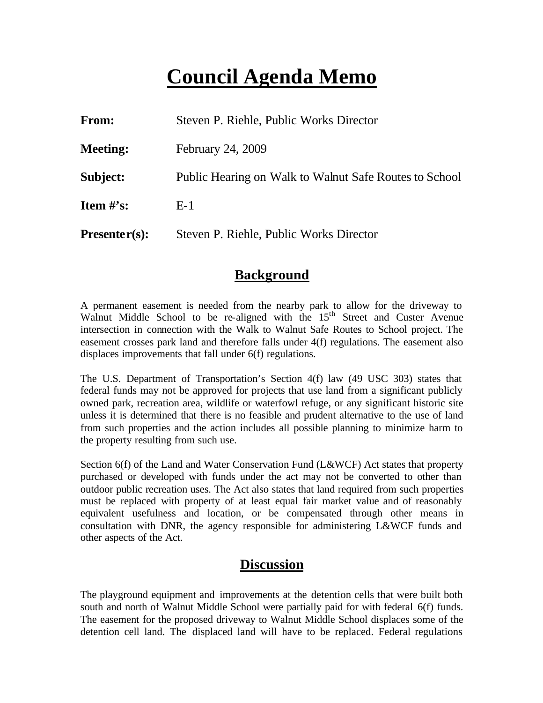## **Council Agenda Memo**

| From:           | Steven P. Riehle, Public Works Director                |
|-----------------|--------------------------------------------------------|
| <b>Meeting:</b> | February 24, 2009                                      |
| Subject:        | Public Hearing on Walk to Walnut Safe Routes to School |
| Item $\#$ 's:   | $E-1$                                                  |
| $Presenter(s):$ | Steven P. Riehle, Public Works Director                |

#### **Background**

A permanent easement is needed from the nearby park to allow for the driveway to Walnut Middle School to be re-aligned with the 15<sup>th</sup> Street and Custer Avenue intersection in connection with the Walk to Walnut Safe Routes to School project. The easement crosses park land and therefore falls under 4(f) regulations. The easement also displaces improvements that fall under 6(f) regulations.

The U.S. Department of Transportation's Section 4(f) law (49 USC 303) states that federal funds may not be approved for projects that use land from a significant publicly owned park, recreation area, wildlife or waterfowl refuge, or any significant historic site unless it is determined that there is no feasible and prudent alternative to the use of land from such properties and the action includes all possible planning to minimize harm to the property resulting from such use.

Section 6(f) of the Land and Water Conservation Fund (L&WCF) Act states that property purchased or developed with funds under the act may not be converted to other than outdoor public recreation uses. The Act also states that land required from such properties must be replaced with property of at least equal fair market value and of reasonably equivalent usefulness and location, or be compensated through other means in consultation with DNR, the agency responsible for administering L&WCF funds and other aspects of the Act.

### **Discussion**

The playground equipment and improvements at the detention cells that were built both south and north of Walnut Middle School were partially paid for with federal 6(f) funds. The easement for the proposed driveway to Walnut Middle School displaces some of the detention cell land. The displaced land will have to be replaced. Federal regulations